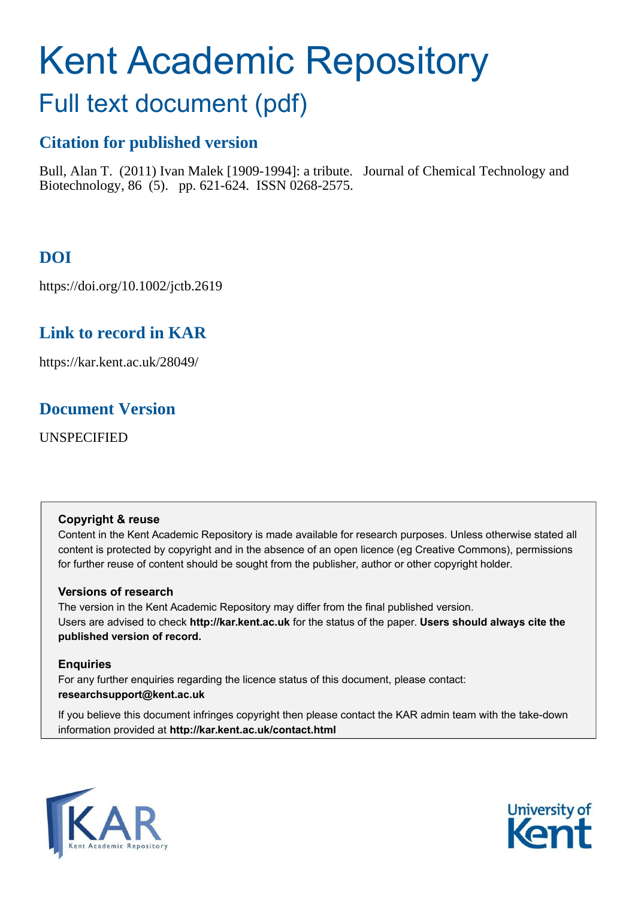# Kent Academic Repository

## Full text document (pdf)

## **Citation for published version**

Bull, Alan T. (2011) Ivan Malek [1909-1994]: a tribute. Journal of Chemical Technology and Biotechnology, 86 (5). pp. 621-624. ISSN 0268-2575.

## **DOI**

https://doi.org/10.1002/jctb.2619

## **Link to record in KAR**

https://kar.kent.ac.uk/28049/

### **Document Version**

UNSPECIFIED

### **Copyright & reuse**

Content in the Kent Academic Repository is made available for research purposes. Unless otherwise stated all content is protected by copyright and in the absence of an open licence (eg Creative Commons), permissions for further reuse of content should be sought from the publisher, author or other copyright holder.

### **Versions of research**

The version in the Kent Academic Repository may differ from the final published version. Users are advised to check **http://kar.kent.ac.uk** for the status of the paper. **Users should always cite the published version of record.**

### **Enquiries**

For any further enquiries regarding the licence status of this document, please contact: **researchsupport@kent.ac.uk**

If you believe this document infringes copyright then please contact the KAR admin team with the take-down information provided at **http://kar.kent.ac.uk/contact.html**



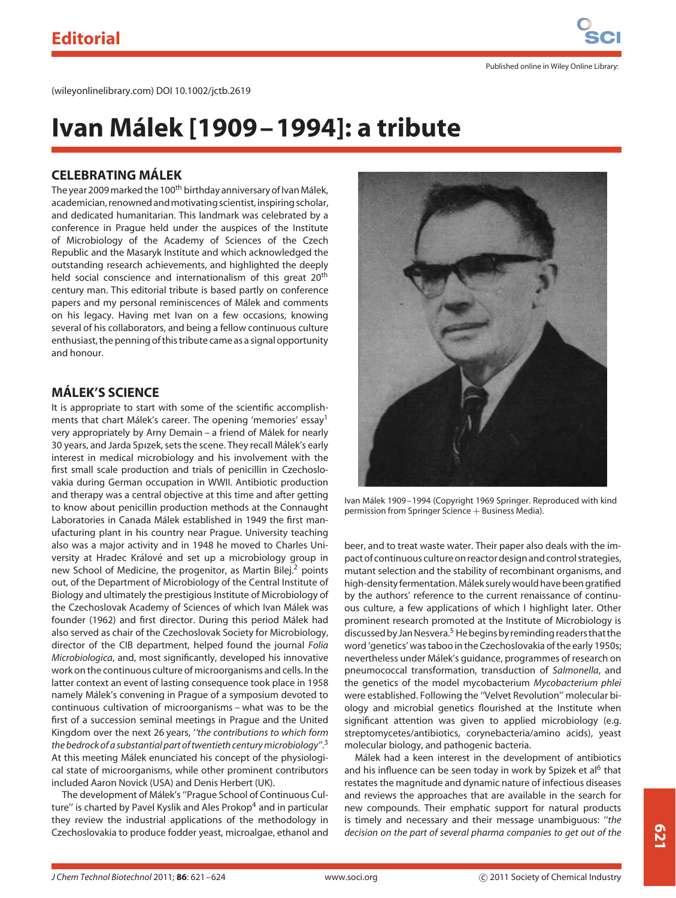(wileyonlinelibrary.com) DOI 10.1002/jctb.2619

## **Ivan Malek [1909–1994]: a tribute ´**

### **CELEBRATING MALEK ´**

The year 2009 marked the 100<sup>th</sup> birthday anniversary of Ivan Málek, academician, renowned andmotivating scientist, inspiring scholar, and dedicated humanitarian. This landmark was celebrated by a conference in Prague held under the auspices of the Institute of Microbiology of the Academy of Sciences of the Czech Republic and the Masaryk Institute and which acknowledged the outstanding research achievements, and highlighted the deeply held social conscience and internationalism of this great 20<sup>th</sup> century man. This editorial tribute is based partly on conference papers and my personal reminiscences of Málek and comments on his legacy. Having met Ivan on a few occasions, knowing several of his collaborators, and being a fellow continuous culture enthusiast, the penning of this tribute came as a signal opportunity and honour.

### **MALEK'S SCIENCE ´**

It is appropriate to start with some of the scientific accomplishments that chart Málek's career. The opening 'memories' essay<sup>1</sup> very appropriately by Arny Demain - a friend of Málek for nearly 30 years, and Jarda Spizek, sets the scene. They recall Málek's early interest in medical microbiology and his involvement with the first small scale production and trials of penicillin in Czechoslovakia during German occupation in WWII. Antibiotic production and therapy was a central objective at this time and after getting to know about penicillin production methods at the Connaught Laboratories in Canada Málek established in 1949 the first manufacturing plant in his country near Prague. University teaching also was a major activity and in 1948 he moved to Charles University at Hradec Králové and set up a microbiology group in new School of Medicine, the progenitor, as Martin Bilej.<sup>2</sup> points out, of the Department of Microbiology of the Central Institute of Biology and ultimately the prestigious Institute of Microbiology of the Czechoslovak Academy of Sciences of which Ivan Málek was founder (1962) and first director. During this period Málek had also served as chair of the Czechoslovak Society for Microbiology, director of the CIB department, helped found the journal *Folia Microbiologica*, and, most significantly, developed his innovative work on the continuous culture of microorganisms and cells. In the latter context an event of lasting consequence took place in 1958 namely Málek's convening in Prague of a symposium devoted to continuous cultivation of microorganisms – what was to be the first of a succession seminal meetings in Prague and the United Kingdom over the next 26 years, '*'the contributions to which form the bedrock of a substantial part of twentieth century microbiology''*. 3 At this meeting Málek enunciated his concept of the physiological state of microorganisms, while other prominent contributors included Aaron Novick (USA) and Denis Herbert (UK).

The development of Málek's "Prague School of Continuous Culture" is charted by Pavel Kyslik and Ales Prokop<sup>4</sup> and in particular they review the industrial applications of the methodology in Czechoslovakia to produce fodder yeast, microalgae, ethanol and



Ivan Málek 1909–1994 (Copyright 1969 Springer. Reproduced with kind permission from Springer Science  $+$  Business Media).

beer, and to treat waste water. Their paper also deals with the impact of continuous culture on reactor design and control strategies, mutant selection and the stability of recombinant organisms, and high-density fermentation. Málek surely would have been gratified by the authors' reference to the current renaissance of continuous culture, a few applications of which I highlight later. Other prominent research promoted at the Institute of Microbiology is discussed by Jan Nesvera.<sup>5</sup> He begins by reminding readers that the word 'genetics' was taboo in the Czechoslovakia of the early 1950s; nevertheless under Malek's guidance, programmes of research on ´ pneumococcal transformation, transduction of *Salmonella*, and the genetics of the model mycobacterium *Mycobacterium phlei* were established. Following the ''Velvet Revolution'' molecular biology and microbial genetics flourished at the Institute when significant attention was given to applied microbiology (e.g. streptomycetes/antibiotics, corynebacteria/amino acids), yeast molecular biology, and pathogenic bacteria.

Málek had a keen interest in the development of antibiotics and his influence can be seen today in work by Spizek et al<sup>6</sup> that restates the magnitude and dynamic nature of infectious diseases and reviews the approaches that are available in the search for new compounds. Their emphatic support for natural products is timely and necessary and their message unambiguous: ''*the decision on the part of several pharma companies to get out of the*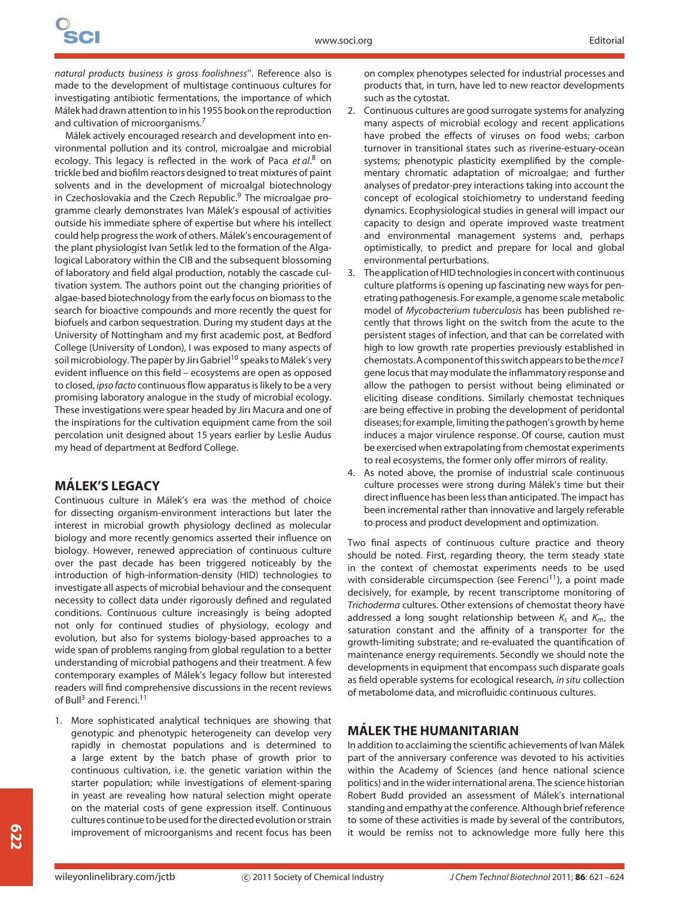*natural products business is gross foolishness*''. Reference also is made to the development of multistage continuous cultures for investigating antibiotic fermentations, the importance of which Málek had drawn attention to in his 1955 book on the reproduction and cultivation of microorganisms.<sup>7</sup>

Málek actively encouraged research and development into environmental pollution and its control, microalgae and microbial ecology. This legacy is reflected in the work of Paca *et al*. <sup>8</sup> on trickle bed and biofilm reactors designed to treat mixtures of paint solvents and in the development of microalgal biotechnology in Czechoslovakia and the Czech Republic.<sup>9</sup> The microalgae programme clearly demonstrates Ivan Málek's espousal of activities outside his immediate sphere of expertise but where his intellect could help progress the work of others. Malek's encouragement of ´ the plant physiologist Ivan Setlik led to the formation of the Algalogical Laboratory within the CIB and the subsequent blossoming of laboratory and field algal production, notably the cascade cultivation system. The authors point out the changing priorities of algae-based biotechnology from the early focus on biomass to the search for bioactive compounds and more recently the quest for biofuels and carbon sequestration. During my student days at the University of Nottingham and my first academic post, at Bedford College (University of London), I was exposed to many aspects of soil microbiology. The paper by Jiri Gabriel<sup>10</sup> speaks to Málek's very evident influence on this field – ecosystems are open as opposed to closed, *ipsofacto* continuous flow apparatus is likely to be a very promising laboratory analogue in the study of microbial ecology. These investigations were spear headed by Jiri Macura and one of the inspirations for the cultivation equipment came from the soil percolation unit designed about 15 years earlier by Leslie Audus my head of department at Bedford College.

### **MALEK'S LEGACY ´**

Continuous culture in Málek's era was the method of choice for dissecting organism-environment interactions but later the interest in microbial growth physiology declined as molecular biology and more recently genomics asserted their influence on biology. However, renewed appreciation of continuous culture over the past decade has been triggered noticeably by the introduction of high-information-density (HID) technologies to investigate all aspects of microbial behaviour and the consequent necessity to collect data under rigorously defined and regulated conditions. Continuous culture increasingly is being adopted not only for continued studies of physiology, ecology and evolution, but also for systems biology-based approaches to a wide span of problems ranging from global regulation to a better understanding of microbial pathogens and their treatment. A few contemporary examples of Malek's legacy follow but interested ´ readers will find comprehensive discussions in the recent reviews of Bull<sup>3</sup> and Ferenci.<sup>11</sup>

1. More sophisticated analytical techniques are showing that genotypic and phenotypic heterogeneity can develop very rapidly in chemostat populations and is determined to a large extent by the batch phase of growth prior to continuous cultivation, i.e. the genetic variation within the starter population; while investigations of element-sparing in yeast are revealing how natural selection might operate on the material costs of gene expression itself. Continuous cultures continue to be usedfor the directed evolution or strain improvement of microorganisms and recent focus has been on complex phenotypes selected for industrial processes and products that, in turn, have led to new reactor developments such as the cytostat.

- 2. Continuous cultures are good surrogate systems for analyzing many aspects of microbial ecology and recent applications have probed the effects of viruses on food webs; carbon turnover in transitional states such as riverine-estuary-ocean systems; phenotypic plasticity exemplified by the complementary chromatic adaptation of microalgae; and further analyses of predator-prey interactions taking into account the concept of ecological stoichiometry to understand feeding dynamics. Ecophysiological studies in general will impact our capacity to design and operate improved waste treatment and environmental management systems and, perhaps optimistically, to predict and prepare for local and global environmental perturbations.
- 3. The application ofHID technologies in concert with continuous culture platforms is opening up fascinating new ways for penetrating pathogenesis. For example, a genome scale metabolic model of *Mycobacterium tuberculosis* has been published recently that throws light on the switch from the acute to the persistent stages of infection, and that can be correlated with high to low growth rate properties previously established in chemostats.Acomponent of this switchappears tobe the*mce1* gene locus that may modulate the inflammatory response and allow the pathogen to persist without being eliminated or eliciting disease conditions. Similarly chemostat techniques are being effective in probing the development of peridontal diseases;for example, limiting the pathogen's growth by heme induces a major virulence response. Of course, caution must be exercised when extrapolating from chemostat experiments to real ecosystems, the former only offer mirrors of reality.
- 4. As noted above, the promise of industrial scale continuous culture processes were strong during Málek's time but their direct influence has been less than anticipated. The impact has been incremental rather than innovative and largely referable to process and product development and optimization.

Two final aspects of continuous culture practice and theory should be noted. First, regarding theory, the term steady state in the context of chemostat experiments needs to be used with considerable circumspection (see Ferenci<sup>11</sup>), a point made decisively, for example, by recent transcriptome monitoring of *Trichoderma* cultures. Other extensions of chemostat theory have addressed a long sought relationship between *K<sup>s</sup>* and *Km*, the saturation constant and the affinity of a transporter for the growth-limiting substrate; and re-evaluated the quantification of maintenance energy requirements. Secondly we should note the developments in equipment that encompass such disparate goals as field operable systems for ecological research, *in situ* collection of metabolome data, and microfluidic continuous cultures.

#### **MALEK THE HUMANITARIAN ´**

In addition to acclaiming the scientific achievements of Ivan Malek ´ part of the anniversary conference was devoted to his activities within the Academy of Sciences (and hence national science politics) and in the wider international arena. The science historian Robert Budd provided an assessment of Málek's international standing and empathy at the conference. Although brief reference to some of these activities is made by several of the contributors, it would be remiss not to acknowledge more fully here this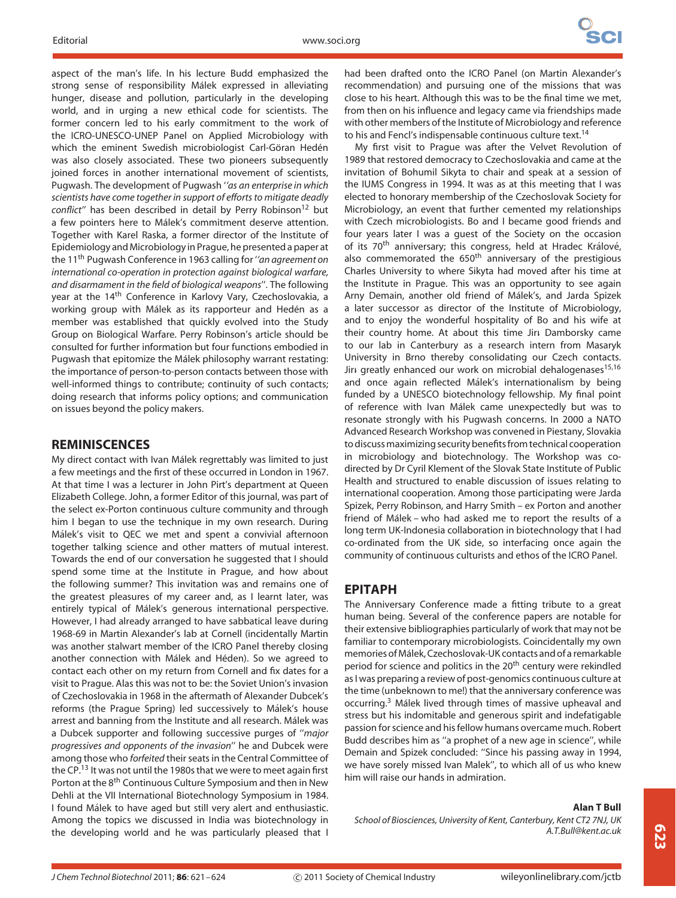aspect of the man's life. In his lecture Budd emphasized the strong sense of responsibility Málek expressed in alleviating hunger, disease and pollution, particularly in the developing world, and in urging a new ethical code for scientists. The former concern led to his early commitment to the work of the ICRO-UNESCO-UNEP Panel on Applied Microbiology with which the eminent Swedish microbiologist Carl-Göran Hedén was also closely associated. These two pioneers subsequently joined forces in another international movement of scientists, Pugwash. The development of Pugwash '*'as an enterprise in which scientists have come together in support of efforts to mitigate deadly* conflict" has been described in detail by Perry Robinson<sup>12</sup> but a few pointers here to Málek's commitment deserve attention. Together with Karel Raska, a former director of the Institute of Epidemiology and Microbiology in Prague, he presented a paper at the 11th Pugwash Conference in 1963 calling for '*'an agreement on international co-operation in protection against biological warfare, and disarmament in the field of biological weapons*''. The following year at the 14<sup>th</sup> Conference in Karlovy Vary, Czechoslovakia, a working group with Málek as its rapporteur and Hedén as a member was established that quickly evolved into the Study Group on Biological Warfare. Perry Robinson's article should be consulted for further information but four functions embodied in Pugwash that epitomize the Málek philosophy warrant restating: the importance of person-to-person contacts between those with well-informed things to contribute; continuity of such contacts; doing research that informs policy options; and communication on issues beyond the policy makers.

### **REMINISCENCES**

My direct contact with Ivan Málek regrettably was limited to just a few meetings and the first of these occurred in London in 1967. At that time I was a lecturer in John Pirt's department at Queen Elizabeth College. John, a former Editor of this journal, was part of the select ex-Porton continuous culture community and through him I began to use the technique in my own research. During Málek's visit to QEC we met and spent a convivial afternoon together talking science and other matters of mutual interest. Towards the end of our conversation he suggested that I should spend some time at the Institute in Prague, and how about the following summer? This invitation was and remains one of the greatest pleasures of my career and, as I learnt later, was entirely typical of Málek's generous international perspective. However, I had already arranged to have sabbatical leave during 1968-69 in Martin Alexander's lab at Cornell (incidentally Martin was another stalwart member of the ICRO Panel thereby closing another connection with Málek and Héden). So we agreed to contact each other on my return from Cornell and fix dates for a visit to Prague. Alas this was not to be: the Soviet Union's invasion of Czechoslovakia in 1968 in the aftermath of Alexander Dubcek's reforms (the Prague Spring) led successively to Málek's house arrest and banning from the Institute and all research. Málek was a Dubcek supporter and following successive purges of ''*major progressives and opponents of the invasion*'' he and Dubcek were among those who *forfeited* their seats in the Central Committee of the CP.<sup>13</sup> It was not until the 1980s that we were to meet again first Porton at the 8<sup>th</sup> Continuous Culture Symposium and then in New Dehli at the VII International Biotechnology Symposium in 1984. I found Malek to have aged but still very alert and enthusiastic. ´ Among the topics we discussed in India was biotechnology in the developing world and he was particularly pleased that I

had been drafted onto the ICRO Panel (on Martin Alexander's recommendation) and pursuing one of the missions that was close to his heart. Although this was to be the final time we met, from then on his influence and legacy came via friendships made with other members of the Institute of Microbiology and reference to his and Fencl's indispensable continuous culture text.<sup>14</sup>

My first visit to Prague was after the Velvet Revolution of 1989 that restored democracy to Czechoslovakia and came at the invitation of Bohumil Sikyta to chair and speak at a session of the IUMS Congress in 1994. It was as at this meeting that I was elected to honorary membership of the Czechoslovak Society for Microbiology, an event that further cemented my relationships with Czech microbiologists. Bo and I became good friends and four years later I was a guest of the Society on the occasion of its 70<sup>th</sup> anniversary; this congress, held at Hradec Králové, also commemorated the  $650<sup>th</sup>$  anniversary of the prestigious Charles University to where Sikyta had moved after his time at the Institute in Prague. This was an opportunity to see again Arny Demain, another old friend of Málek's, and Jarda Spizek a later successor as director of the Institute of Microbiology, and to enjoy the wonderful hospitality of Bo and his wife at their country home. At about this time Jiri Damborsky came to our lab in Canterbury as a research intern from Masaryk University in Brno thereby consolidating our Czech contacts. Jiri greatly enhanced our work on microbial dehalogenases<sup>15,16</sup> and once again reflected Málek's internationalism by being funded by a UNESCO biotechnology fellowship. My final point of reference with Ivan Málek came unexpectedly but was to resonate strongly with his Pugwash concerns. In 2000 a NATO Advanced Research Workshop was convened in Piestany, Slovakia to discussmaximizing security benefitsfrom technical cooperation in microbiology and biotechnology. The Workshop was codirected by Dr Cyril Klement of the Slovak State Institute of Public Health and structured to enable discussion of issues relating to international cooperation. Among those participating were Jarda Spizek, Perry Robinson, and Harry Smith – ex Porton and another friend of Málek – who had asked me to report the results of a long term UK-Indonesia collaboration in biotechnology that I had co-ordinated from the UK side, so interfacing once again the community of continuous culturists and ethos of the ICRO Panel.

### **EPITAPH**

The Anniversary Conference made a fitting tribute to a great human being. Several of the conference papers are notable for their extensive bibliographies particularly of work that may not be familiar to contemporary microbiologists. Coincidentally my own memories of Malek, Czechoslovak-UK contacts and of a remarkable ´ period for science and politics in the 20<sup>th</sup> century were rekindled as I was preparing a review of post-genomics continuous culture at the time (unbeknown to me!) that the anniversary conference was occurring.<sup>3</sup> Málek lived through times of massive upheaval and stress but his indomitable and generous spirit and indefatigable passion for science and his fellow humans overcame much. Robert Budd describes him as ''a prophet of a new age in science'', while Demain and Spizek concluded: ''Since his passing away in 1994, we have sorely missed Ivan Malek'', to which all of us who knew him will raise our hands in admiration.

*School of Biosciences, University of Kent, Canterbury, Kent CT2 7NJ, UK A.T.Bull@kent.ac.uk*